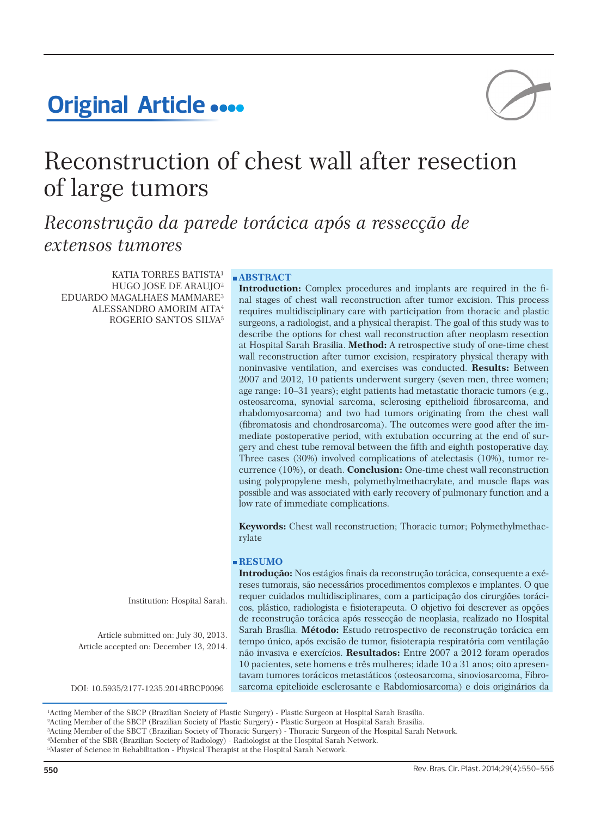# **Original Article ....**



# Reconstruction of chest wall after resection of large tumors

*Reconstrução da parede torácica após a ressecção de extensos tumores*

KATIA TORRES BATISTA<sup>1</sup> HUGO JOSE DE ARAUJO² EDUARDO MAGALHAES MAMMARE³ ALESSANDRO AMORIM AITA4 ROGERIO SANTOS SILVA5

## **ABSTRACT**

**Introduction:** Complex procedures and implants are required in the final stages of chest wall reconstruction after tumor excision. This process requires multidisciplinary care with participation from thoracic and plastic surgeons, a radiologist, and a physical therapist. The goal of this study was to describe the options for chest wall reconstruction after neoplasm resection at Hospital Sarah Brasilia. **Method:** A retrospective study of one-time chest wall reconstruction after tumor excision, respiratory physical therapy with noninvasive ventilation, and exercises was conducted. **Results:** Between 2007 and 2012, 10 patients underwent surgery (seven men, three women; age range: 10–31 years); eight patients had metastatic thoracic tumors (e.g., osteosarcoma, synovial sarcoma, sclerosing epithelioid fibrosarcoma, and rhabdomyosarcoma) and two had tumors originating from the chest wall (fibromatosis and chondrosarcoma). The outcomes were good after the immediate postoperative period, with extubation occurring at the end of surgery and chest tube removal between the fifth and eighth postoperative day. Three cases (30%) involved complications of atelectasis (10%), tumor recurrence (10%), or death. **Conclusion:** One-time chest wall reconstruction using polypropylene mesh, polymethylmethacrylate, and muscle flaps was possible and was associated with early recovery of pulmonary function and a low rate of immediate complications.

**Keywords:** Chest wall reconstruction; Thoracic tumor; Polymethylmethacrylate

## **RESUMO**

Institution: Hospital Sarah.

Article submitted on: July 30, 2013. Article accepted on: December 13, 2014.

**Introdução:** Nos estágios finais da reconstrução torácica, consequente a exéreses tumorais, são necessários procedimentos complexos e implantes. O que requer cuidados multidisciplinares, com a participação dos cirurgiões torácicos, plástico, radiologista e fisioterapeuta. O objetivo foi descrever as opções de reconstrução torácica após ressecção de neoplasia, realizado no Hospital Sarah Brasília. **Método:** Estudo retrospectivo de reconstrução torácica em tempo único, após excisão de tumor, fisioterapia respiratória com ventilação não invasiva e exercícios. **Resultados:** Entre 2007 a 2012 foram operados 10 pacientes, sete homens e três mulheres; idade 10 a 31 anos; oito apresentavam tumores torácicos metastáticos (osteosarcoma, sinoviosarcoma, Fibro-DOI: 10.5935/2177-1235.2014RBCP0096 sarcoma epitelioide esclerosante e Rabdomiosarcoma) e dois originários da

<sup>1</sup> Acting Member of the SBCP (Brazilian Society of Plastic Surgery) - Plastic Surgeon at Hospital Sarah Brasilia.

<sup>2</sup> Acting Member of the SBCP (Brazilian Society of Plastic Surgery) - Plastic Surgeon at Hospital Sarah Brasilia.

<sup>3</sup> Acting Member of the SBCT (Brazilian Society of Thoracic Surgery) - Thoracic Surgeon of the Hospital Sarah Network.

<sup>4</sup> Member of the SBR (Brazilian Society of Radiology) - Radiologist at the Hospital Sarah Network. 5 Master of Science in Rehabilitation - Physical Therapist at the Hospital Sarah Network.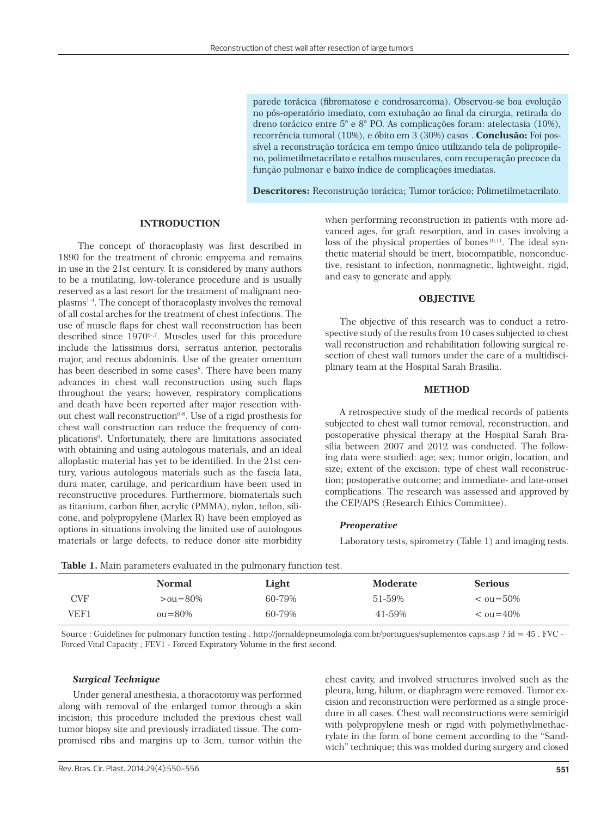parede torácica (fibromatose e condrosarcoma). Observou-se boa evolução no pós-operatório imediato, com extubação ao final da cirurgia, retirada do dreno torácico entre 5° e 8° PO. As complicações foram: atelectasia (10%), recorrência tumoral (10%), e óbito em 3 (30%) casos . **Conclusão:** Foi possível a reconstrução torácica em tempo único utilizando tela de polipropileno, polimetilmetacrilato e retalhos musculares, com recuperação precoce da função pulmonar e baixo índice de complicações imediatas.

**Descritores:** Reconstrução torácica; Tumor torácico; Polimetilmetacrilato.

#### **INTRODUCTION**

The concept of thoracoplasty was first described in 1890 for the treatment of chronic empyema and remains in use in the 21st century. It is considered by many authors to be a mutilating, low-tolerance procedure and is usually reserved as a last resort for the treatment of malignant neoplasms1-4. The concept of thoracoplasty involves the removal of all costal arches for the treatment of chest infections. The use of muscle flaps for chest wall reconstruction has been described since 19705-,7. Muscles used for this procedure include the latissimus dorsi, serratus anterior, pectoralis major, and rectus abdominis. Use of the greater omentum has been described in some cases<sup>8</sup>. There have been many advances in chest wall reconstruction using such flaps throughout the years; however, respiratory complications and death have been reported after major resection without chest wall reconstruction<sup>6-8</sup>. Use of a rigid prosthesis for chest wall construction can reduce the frequency of complications9 . Unfortunately, there are limitations associated with obtaining and using autologous materials, and an ideal alloplastic material has yet to be identified. In the 21st century, various autologous materials such as the fascia lata, dura mater, cartilage, and pericardium have been used in reconstructive procedures. Furthermore, biomaterials such as titanium, carbon fiber, acrylic (PMMA), nylon, teflon, silicone, and polypropylene (Marlex R) have been employed as options in situations involving the limited use of autologous materials or large defects, to reduce donor site morbidity

when performing reconstruction in patients with more advanced ages, for graft resorption, and in cases involving a loss of the physical properties of bones $10,11$ . The ideal synthetic material should be inert, biocompatible, nonconductive, resistant to infection, nonmagnetic, lightweight, rigid, and easy to generate and apply.

#### **OBJECTIVE**

The objective of this research was to conduct a retrospective study of the results from 10 cases subjected to chest wall reconstruction and rehabilitation following surgical resection of chest wall tumors under the care of a multidisciplinary team at the Hospital Sarah Brasilia.

#### **METHOD**

A retrospective study of the medical records of patients subjected to chest wall tumor removal, reconstruction, and postoperative physical therapy at the Hospital Sarah Brasília between 2007 and 2012 was conducted. The following data were studied: age; sex; tumor origin, location, and size; extent of the excision; type of chest wall reconstruction; postoperative outcome; and immediate- and late-onset complications. The research was assessed and approved by the CEP/APS (Research Ethics Committee).

### *Preoperative*

Laboratory tests, spirometry (Table 1) and imaging tests.

| <b>Table 1:</b> Mailly parameters evaluated in the pullional y function test. |                       |        |          |                 |  |
|-------------------------------------------------------------------------------|-----------------------|--------|----------|-----------------|--|
|                                                                               | <b>Normal</b>         | Light  | Moderate | <b>Serious</b>  |  |
| CVF                                                                           | $> 0 \times 1 = 80\%$ | 60-79% | 51-59%   | $\leq$ 0u=50%   |  |
| VEF1                                                                          | $01 = 80\%$           | 60-79% | 41-59%   | $\leq$ 011=40\% |  |

**Table 1.** Main parameters evaluated in the pulmonary function test.

Source : Guidelines for pulmonary function testing . http://jornaldepneumologia.com.br/portugues/suplementos caps.asp ? id = 45 . FVC - Forced Vital Capacity ; FEV1 - Forced Expiratory Volume in the first second.

#### *Surgical Technique*

Under general anesthesia, a thoracotomy was performed along with removal of the enlarged tumor through a skin incision; this procedure included the previous chest wall tumor biopsy site and previously irradiated tissue. The compromised ribs and margins up to 3cm, tumor within the chest cavity, and involved structures involved such as the pleura, lung, hilum, or diaphragm were removed. Tumor excision and reconstruction were performed as a single procedure in all cases. Chest wall reconstructions were semirigid with polypropylene mesh or rigid with polymethylmethacrylate in the form of bone cement according to the "Sandwich" technique; this was molded during surgery and closed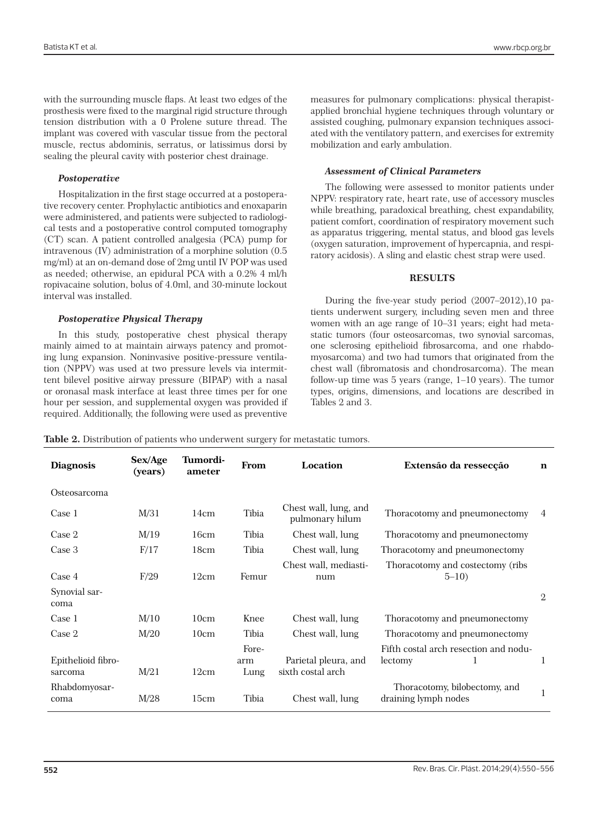with the surrounding muscle flaps. At least two edges of the prosthesis were fixed to the marginal rigid structure through tension distribution with a 0 Prolene suture thread. The implant was covered with vascular tissue from the pectoral muscle, rectus abdominis, serratus, or latissimus dorsi by sealing the pleural cavity with posterior chest drainage.

## *Postoperative*

Hospitalization in the first stage occurred at a postoperative recovery center. Prophylactic antibiotics and enoxaparin were administered, and patients were subjected to radiological tests and a postoperative control computed tomography (CT) scan. A patient controlled analgesia (PCA) pump for intravenous (IV) administration of a morphine solution (0.5 mg/ml) at an on-demand dose of 2mg until IV POP was used as needed; otherwise, an epidural PCA with a 0.2% 4 ml/h ropivacaine solution, bolus of 4.0ml, and 30-minute lockout interval was installed.

## *Postoperative Physical Therapy*

In this study, postoperative chest physical therapy mainly aimed to at maintain airways patency and promoting lung expansion. Noninvasive positive-pressure ventilation (NPPV) was used at two pressure levels via intermittent bilevel positive airway pressure (BIPAP) with a nasal or oronasal mask interface at least three times per for one hour per session, and supplemental oxygen was provided if required. Additionally, the following were used as preventive measures for pulmonary complications: physical therapistapplied bronchial hygiene techniques through voluntary or assisted coughing, pulmonary expansion techniques associated with the ventilatory pattern, and exercises for extremity mobilization and early ambulation.

## *Assessment of Clinical Parameters*

The following were assessed to monitor patients under NPPV: respiratory rate, heart rate, use of accessory muscles while breathing, paradoxical breathing, chest expandability, patient comfort, coordination of respiratory movement such as apparatus triggering, mental status, and blood gas levels (oxygen saturation, improvement of hypercapnia, and respiratory acidosis). A sling and elastic chest strap were used.

## **RESULTS**

During the five-year study period (2007–2012),10 patients underwent surgery, including seven men and three women with an age range of 10–31 years; eight had metastatic tumors (four osteosarcomas, two synovial sarcomas, one sclerosing epithelioid fibrosarcoma, and one rhabdomyosarcoma) and two had tumors that originated from the chest wall (fibromatosis and chondrosarcoma). The mean follow-up time was 5 years (range, 1–10 years). The tumor types, origins, dimensions, and locations are described in Tables 2 and 3.

**Table 2.** Distribution of patients who underwent surgery for metastatic tumors.

| <b>Diagnosis</b>              | Sex/Age<br>(vears) | Tumordi-<br>ameter | From                 | Location                                  | Extensão da ressecção                                 | n              |
|-------------------------------|--------------------|--------------------|----------------------|-------------------------------------------|-------------------------------------------------------|----------------|
| Osteosarcoma                  |                    |                    |                      |                                           |                                                       |                |
| Case 1                        | M/31               | 14cm               | Tibia                | Chest wall, lung, and<br>pulmonary hilum  | Thoracotomy and pneumonectomy                         | 4              |
| Case 2                        | M/19               | 16cm               | Tibia                | Chest wall, lung                          | Thoracotomy and pneumonectomy                         |                |
| Case 3                        | F/17               | 18cm               | Tibia                | Chest wall, lung                          | Thoracotomy and pneumonectomy                         |                |
| Case 4                        | F/29               | 12cm               | Femur                | Chest wall, mediasti-<br>num              | Thoracotomy and costectomy (ribs<br>$5 - 10$          |                |
| Synovial sar-<br>coma         |                    |                    |                      |                                           |                                                       | $\overline{2}$ |
| Case 1                        | M/10               | 10cm               | Knee                 | Chest wall, lung                          | Thoracotomy and pneumonectomy                         |                |
| Case 2                        | M/20               | 10cm               | Tibia                | Chest wall, lung                          | Thoracotomy and pneumonectomy                         |                |
| Epithelioid fibro-<br>sarcoma | M/21               | 12cm               | Fore-<br>arm<br>Lung | Parietal pleura, and<br>sixth costal arch | Fifth costal arch resection and nodu-<br>lectomy<br>1 |                |
| Rhabdomyosar-<br>coma         | M/28               | 15cm               | Tibia                | Chest wall, lung                          | Thoracotomy, bilobectomy, and<br>draining lymph nodes |                |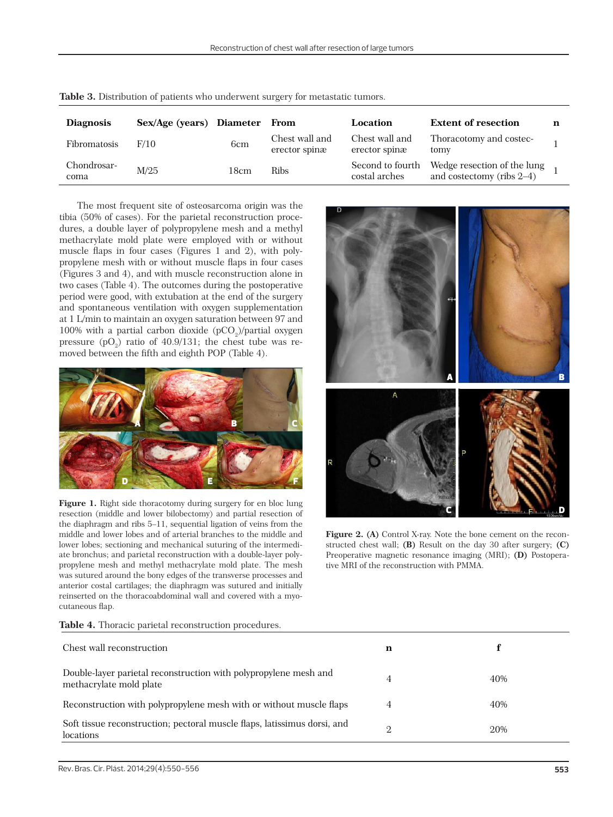| <b>Diagnosis</b>    | Sex/Age (years) Diameter |                 | From                            | Location                          | <b>Extent of resection</b>                                  |  |
|---------------------|--------------------------|-----------------|---------------------------------|-----------------------------------|-------------------------------------------------------------|--|
| <b>Fibromatosis</b> | F/10                     | 6 <sub>cm</sub> | Chest wall and<br>erector spinæ | Chest wall and<br>erector spinæ   | Thoracotomy and costec-<br>tomy                             |  |
| Chondrosar-<br>coma | M/25                     | 18cm            | <b>Ribs</b>                     | Second to fourth<br>costal arches | Wedge resection of the lung<br>and costectomy (ribs $2-4$ ) |  |

|  |  | Table 3. Distribution of patients who underwent surgery for metastatic tumors. |
|--|--|--------------------------------------------------------------------------------|
|--|--|--------------------------------------------------------------------------------|

 The most frequent site of osteosarcoma origin was the tibia (50% of cases). For the parietal reconstruction procedures, a double layer of polypropylene mesh and a methyl methacrylate mold plate were employed with or without muscle flaps in four cases (Figures 1 and 2), with polypropylene mesh with or without muscle flaps in four cases (Figures 3 and 4), and with muscle reconstruction alone in two cases (Table 4). The outcomes during the postoperative period were good, with extubation at the end of the surgery and spontaneous ventilation with oxygen supplementation at 1 L/min to maintain an oxygen saturation between 97 and 100% with a partial carbon dioxide  $(pCO<sub>2</sub>)/p$ artial oxygen pressure  $(pO_2)$  ratio of 40.9/131; the chest tube was removed between the fifth and eighth POP (Table 4).



Figure 1. Right side thoracotomy during surgery for en bloc lung resection (middle and lower bilobectomy) and partial resection of the diaphragm and ribs 5–11, sequential ligation of veins from the middle and lower lobes and of arterial branches to the middle and lower lobes; sectioning and mechanical suturing of the intermediate bronchus; and parietal reconstruction with a double-layer polypropylene mesh and methyl methacrylate mold plate. The mesh was sutured around the bony edges of the transverse processes and anterior costal cartilages; the diaphragm was sutured and initially reinserted on the thoracoabdominal wall and covered with a myocutaneous flap.

| A<br>A<br>R<br>WWW.com | B<br>Ξ<br>D) |
|------------------------|--------------|

**Figure 2. (A)** Control X-ray. Note the bone cement on the reconstructed chest wall; **(B)** Result on the day 30 after surgery; **(C)** Preoperative magnetic resonance imaging (MRI); **(D)** Postoperative MRI of the reconstruction with PMMA.

| Table 4. Thoracic parietal reconstruction procedures. |  |
|-------------------------------------------------------|--|
|-------------------------------------------------------|--|

| Chest wall reconstruction                                                                   | n |     |
|---------------------------------------------------------------------------------------------|---|-----|
| Double-layer parietal reconstruction with polypropylene mesh and<br>methacrylate mold plate | 4 | 40% |
| Reconstruction with polypropylene mesh with or without muscle flaps                         |   | 40% |
| Soft tissue reconstruction; pectoral muscle flaps, latissimus dorsi, and<br>locations       |   | 20% |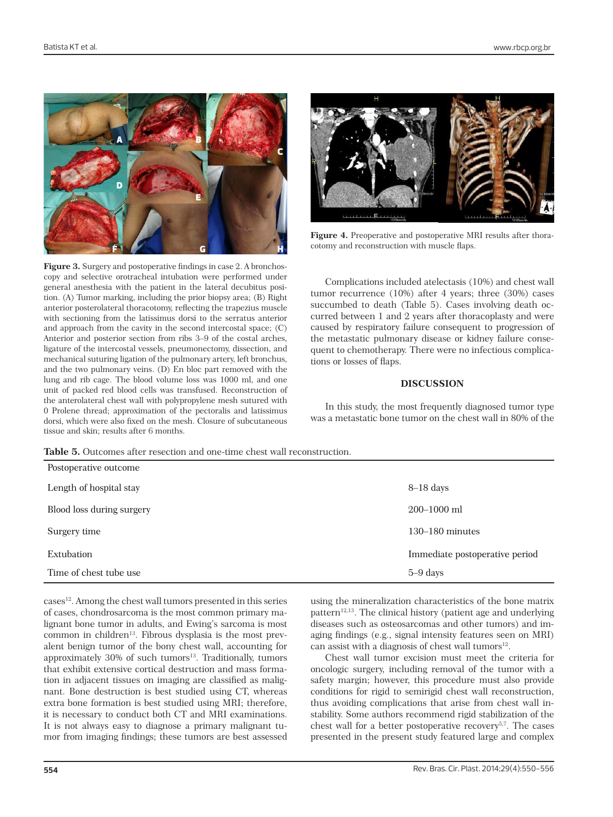

**Figure 3.** Surgery and postoperative findings in case 2. A bronchoscopy and selective orotracheal intubation were performed under general anesthesia with the patient in the lateral decubitus position. (A) Tumor marking, including the prior biopsy area; (B) Right anterior posterolateral thoracotomy, reflecting the trapezius muscle with sectioning from the latissimus dorsi to the serratus anterior and approach from the cavity in the second intercostal space; (C) Anterior and posterior section from ribs 3–9 of the costal arches, ligature of the intercostal vessels, pneumonectomy, dissection, and mechanical suturing ligation of the pulmonary artery, left bronchus, and the two pulmonary veins. (D) En bloc part removed with the lung and rib cage. The blood volume loss was 1000 ml, and one unit of packed red blood cells was transfused. Reconstruction of the anterolateral chest wall with polypropylene mesh sutured with 0 Prolene thread; approximation of the pectoralis and latissimus dorsi, which were also fixed on the mesh. Closure of subcutaneous tissue and skin; results after 6 months.



Figure 4. Preoperative and postoperative MRI results after thoracotomy and reconstruction with muscle flaps.

Complications included atelectasis (10%) and chest wall tumor recurrence (10%) after 4 years; three (30%) cases succumbed to death (Table 5). Cases involving death occurred between 1 and 2 years after thoracoplasty and were caused by respiratory failure consequent to progression of the metastatic pulmonary disease or kidney failure consequent to chemotherapy. There were no infectious complications or losses of flaps.

#### **DISCUSSION**

In this study, the most frequently diagnosed tumor type was a metastatic bone tumor on the chest wall in 80% of the

**Table 5.** Outcomes after resection and one-time chest wall reconstruction.

| Postoperative outcome     |                                |
|---------------------------|--------------------------------|
| Length of hospital stay   | $8-18$ days                    |
| Blood loss during surgery | $200 - 1000$ ml                |
| Surgery time              | $130-180$ minutes              |
| Extubation                | Immediate postoperative period |
| Time of chest tube use    | 5–9 days                       |

cases<sup>12</sup>. Among the chest wall tumors presented in this series of cases, chondrosarcoma is the most common primary malignant bone tumor in adults, and Ewing's sarcoma is most common in children<sup>13</sup>. Fibrous dysplasia is the most prevalent benign tumor of the bony chest wall, accounting for approximately 30% of such tumors<sup>13</sup>. Traditionally, tumors that exhibit extensive cortical destruction and mass formation in adjacent tissues on imaging are classified as malignant. Bone destruction is best studied using CT, whereas extra bone formation is best studied using MRI; therefore, it is necessary to conduct both CT and MRI examinations. It is not always easy to diagnose a primary malignant tumor from imaging findings; these tumors are best assessed

using the mineralization characteristics of the bone matrix  $pattern<sup>12,13</sup>$ . The clinical history (patient age and underlying diseases such as osteosarcomas and other tumors) and imaging findings (e.g., signal intensity features seen on MRI) can assist with a diagnosis of chest wall tumors $12$ .

Chest wall tumor excision must meet the criteria for oncologic surgery, including removal of the tumor with a safety margin; however, this procedure must also provide conditions for rigid to semirigid chest wall reconstruction, thus avoiding complications that arise from chest wall instability. Some authors recommend rigid stabilization of the chest wall for a better postoperative recovery<sup>5,7</sup>. The cases presented in the present study featured large and complex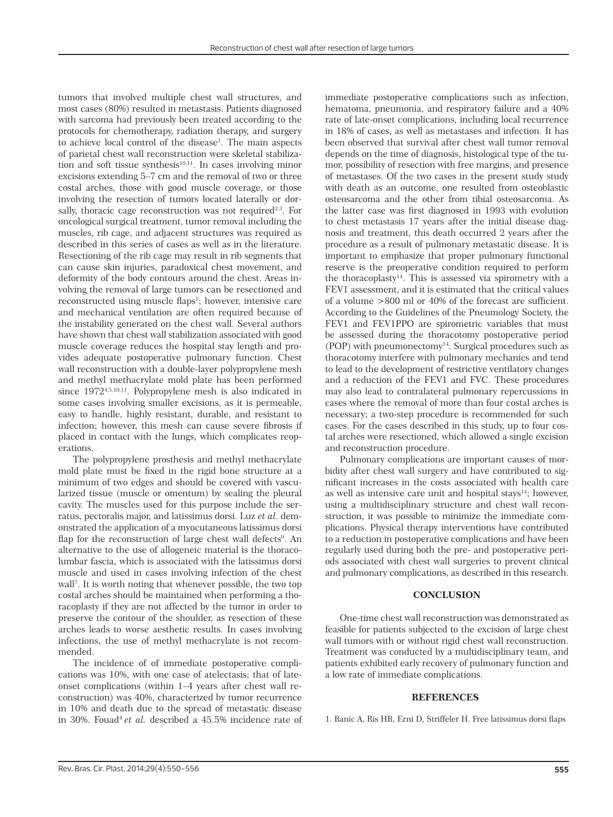tumors that involved multiple chest wall structures, and most cases (80%) resulted in metastasis. Patients diagnosed with sarcoma had previously been treated according to the protocols for chemotherapy, radiation therapy, and surgery to achieve local control of the disease<sup>1</sup>. The main aspects of parietal chest wall reconstruction were skeletal stabilization and soft tissue synthesis $10,11$ . In cases involving minor excisions extending 5–7 cm and the removal of two or three costal arches, those with good muscle coverage, or those involving the resection of tumors located laterally or dorsally, thoracic cage reconstruction was not required<sup>2,3</sup>. For oncological surgical treatment, tumor removal including the muscles, rib cage, and adjacent structures was required as described in this series of cases as well as in the literature. Resectioning of the rib cage may result in rib segments that can cause skin injuries, paradoxical chest movement, and deformity of the body contours around the chest. Areas involving the removal of large tumors can be resectioned and reconstructed using muscle flaps<sup>1</sup>; however, intensive care and mechanical ventilation are often required because of the instability generated on the chest wall. Several authors have shown that chest wall stabilization associated with good muscle coverage reduces the hospital stay length and provides adequate postoperative pulmonary function. Chest wall reconstruction with a double-layer polypropylene mesh and methyl methacrylate mold plate has been performed since 19724,5,10,11. Polypropylene mesh is also indicated in some cases involving smaller excisions, as it is permeable, easy to handle, highly resistant, durable, and resistant to infection; however, this mesh can cause severe fibrosis if placed in contact with the lungs, which complicates reoperations.

The polypropylene prosthesis and methyl methacrylate mold plate must be fixed in the rigid bone structure at a minimum of two edges and should be covered with vascularized tissue (muscle or omentum) by sealing the pleural cavity. The muscles used for this purpose include the serratus, pectoralis major, and latissimus dorsi. Luz *et al.* demonstrated the application of a myocutaneous latissimus dorsi flap for the reconstruction of large chest wall defects<sup>9</sup>. An alternative to the use of allogeneic material is the thoracolumbar fascia, which is associated with the latissimus dorsi muscle and used in cases involving infection of the chest wall7 . It is worth noting that whenever possible, the two top costal arches should be maintained when performing a thoracoplasty if they are not affected by the tumor in order to preserve the contour of the shoulder, as resection of these arches leads to worse aesthetic results. In cases involving infections, the use of methyl methacrylate is not recommended.

The incidence of of immediate postoperative complications was 10%, with one case of atelectasis; that of lateonset complications (within 1–4 years after chest wall reconstruction) was 40%, characterized by tumor recurrence in 10% and death due to the spread of metastatic disease in 30%. Fouad<sup>4</sup> et al. described a 45.5% incidence rate of immediate postoperative complications such as infection, hematoma, pneumonia, and respiratory failure and a 40% rate of late-onset complications, including local recurrence in 18% of cases, as well as metastases and infection. It has been observed that survival after chest wall tumor removal depends on the time of diagnosis, histological type of the tumor, possibility of resection with free margins, and presence of metastases. Of the two cases in the present study study with death as an outcome, one resulted from osteoblastic osteosarcoma and the other from tibial osteosarcoma. As the latter case was first diagnosed in 1993 with evolution to chest metastasis 17 years after the initial disease diagnosis and treatment, this death occurred 2 years after the procedure as a result of pulmonary metastatic disease. It is important to emphasize that proper pulmonary functional reserve is the preoperative condition required to perform the thoracoplasty14. This is assessed via spirometry with a FEV1 assessment, and it is estimated that the critical values of a volume >800 ml or 40% of the forecast are sufficient. According to the Guidelines of the Pneumology Society, the FEV1 and FEV1PPO are spirometric variables that must be assessed during the thoracotomy postoperative period (POP) with pneumonectomy $14$ . Surgical procedures such as thoracotomy interfere with pulmonary mechanics and tend to lead to the development of restrictive ventilatory changes and a reduction of the FEV1 and FVC. These procedures may also lead to contralateral pulmonary repercussions in cases where the removal of more than four costal arches is necessary; a two-step procedure is recommended for such cases. For the cases described in this study, up to four costal arches were resectioned, which allowed a single excision and reconstruction procedure.

Pulmonary complications are important causes of morbidity after chest wall surgery and have contributed to significant increases in the costs associated with health care as well as intensive care unit and hospital stays $14$ ; however, using a multidisciplinary structure and chest wall reconstruction, it was possible to minimize the immediate complications. Physical therapy interventions have contributed to a reduction in postoperative complications and have been regularly used during both the pre- and postoperative periods associated with chest wall surgeries to prevent clinical and pulmonary complications, as described in this research.

## **CONCLUSION**

One-time chest wall reconstruction was demonstrated as feasible for patients subjected to the excision of large chest wall tumors with or without rigid chest wall reconstruction. Treatment was conducted by a multidisciplinary team, and patients exhibited early recovery of pulmonary function and a low rate of immediate complications.

### **REFERENCES**

1. Banic A, Ris HB, Erni D, Striffeler H. Free latissimus dorsi flaps